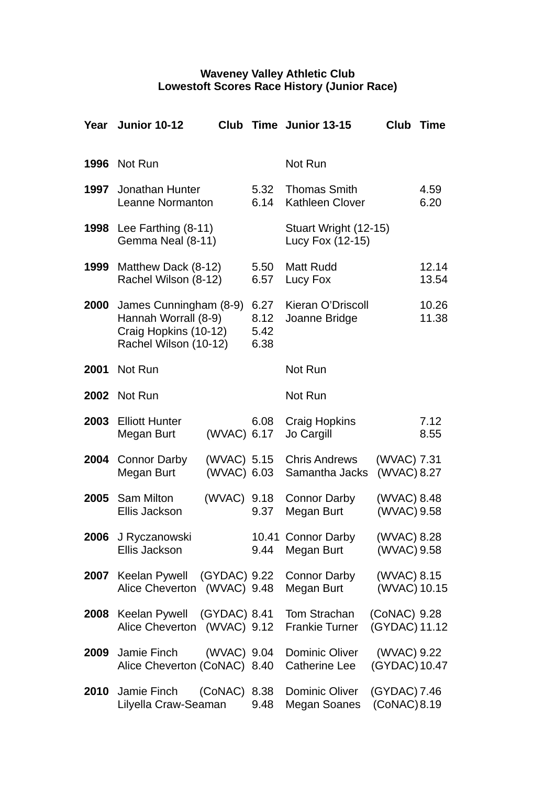## **Waveney Valley Athletic Club Lowestoft Scores Race History (Junior Race)**

| Year | <b>Junior 10-12</b>                                                                              | Club                       |                              | Time Junior 13-15                             | Club                          | <b>Time</b>    |
|------|--------------------------------------------------------------------------------------------------|----------------------------|------------------------------|-----------------------------------------------|-------------------------------|----------------|
| 1996 | Not Run                                                                                          |                            |                              | Not Run                                       |                               |                |
| 1997 | Jonathan Hunter<br>Leanne Normanton                                                              |                            | 5.32<br>6.14                 | <b>Thomas Smith</b><br><b>Kathleen Clover</b> |                               | 4.59<br>6.20   |
| 1998 | Lee Farthing $(8-11)$<br>Gemma Neal (8-11)                                                       |                            |                              | Stuart Wright (12-15)<br>Lucy Fox (12-15)     |                               |                |
| 1999 | Matthew Dack (8-12)<br>Rachel Wilson (8-12)                                                      |                            | 5.50<br>6.57                 | <b>Matt Rudd</b><br>Lucy Fox                  |                               | 12.14<br>13.54 |
| 2000 | James Cunningham (8-9)<br>Hannah Worrall (8-9)<br>Craig Hopkins (10-12)<br>Rachel Wilson (10-12) |                            | 6.27<br>8.12<br>5.42<br>6.38 | Kieran O'Driscoll<br>Joanne Bridge            |                               | 10.26<br>11.38 |
| 2001 | Not Run                                                                                          |                            |                              | Not Run                                       |                               |                |
| 2002 | Not Run                                                                                          |                            |                              | Not Run                                       |                               |                |
| 2003 | <b>Elliott Hunter</b><br>Megan Burt                                                              | (WVAC) 6.17                | 6.08                         | <b>Craig Hopkins</b><br>Jo Cargill            |                               | 7.12<br>8.55   |
| 2004 | Connor Darby<br>Megan Burt                                                                       | (WVAC) 5.15<br>(WVAC) 6.03 |                              | <b>Chris Andrews</b><br>Samantha Jacks        | (WVAC) 7.31<br>(WVAC) 8.27    |                |
| 2005 | <b>Sam Milton</b><br>Ellis Jackson                                                               | (WVAC) 9.18                | 9.37                         | <b>Connor Darby</b><br>Megan Burt             | (WVAC) 8.48<br>(WVAC) 9.58    |                |
|      | 2006 J Ryczanowski<br>Ellis Jackson                                                              |                            | 9.44                         | 10.41 Connor Darby<br>Megan Burt              | (WVAC) 8.28<br>(WVAC) 9.58    |                |
| 2007 | Keelan Pywell (GYDAC) 9.22<br>Alice Cheverton (WVAC) 9.48                                        |                            |                              | Connor Darby<br>Megan Burt                    | (WVAC) 8.15<br>(WVAC) 10.15   |                |
| 2008 | Keelan Pywell (GYDAC) 8.41<br>Alice Cheverton (WVAC) 9.12                                        |                            |                              | Tom Strachan<br><b>Frankie Turner</b>         | (CoNAC) 9.28<br>(GYDAC) 11.12 |                |
| 2009 | Jamie Finch<br>Alice Cheverton (CoNAC) 8.40                                                      | (WVAC) 9.04                |                              | <b>Dominic Oliver</b><br>Catherine Lee        | (WVAC) 9.22<br>(GYDAC) 10.47  |                |
| 2010 | Jamie Finch<br>Lilyella Craw-Seaman                                                              | (CONAC) 8.38               | 9.48                         | Dominic Oliver<br><b>Megan Soanes</b>         | (GYDAC) 7.46<br>(CoNAC) 8.19  |                |